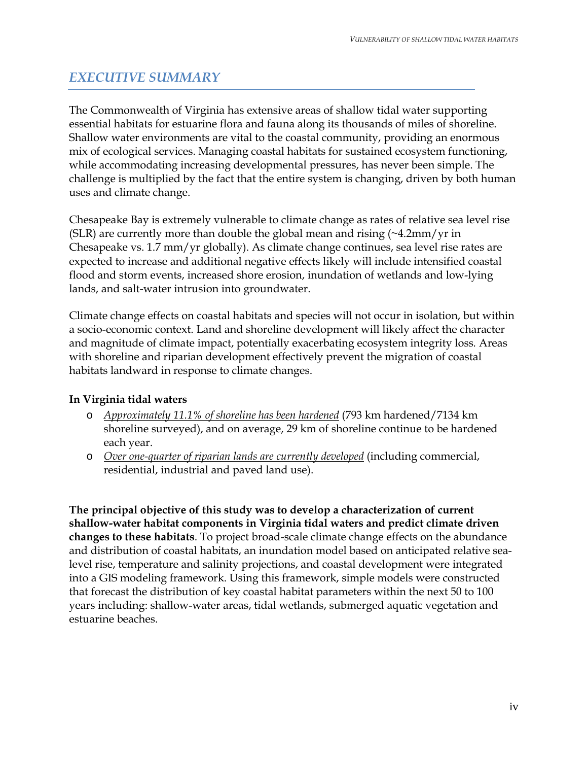## *EXECUTIVE SUMMARY*

The Commonwealth of Virginia has extensive areas of shallow tidal water supporting essential habitats for estuarine flora and fauna along its thousands of miles of shoreline. Shallow water environments are vital to the coastal community, providing an enormous mix of ecological services. Managing coastal habitats for sustained ecosystem functioning, while accommodating increasing developmental pressures, has never been simple. The challenge is multiplied by the fact that the entire system is changing, driven by both human uses and climate change.

Chesapeake Bay is extremely vulnerable to climate change as rates of relative sea level rise (SLR) are currently more than double the global mean and rising (~4.2mm/yr in Chesapeake vs. 1.7 mm/yr globally). As climate change continues, sea level rise rates are expected to increase and additional negative effects likely will include intensified coastal flood and storm events, increased shore erosion, inundation of wetlands and low-lying lands, and salt-water intrusion into groundwater.

Climate change effects on coastal habitats and species will not occur in isolation, but within a socio-economic context. Land and shoreline development will likely affect the character and magnitude of climate impact, potentially exacerbating ecosystem integrity loss*.* Areas with shoreline and riparian development effectively prevent the migration of coastal habitats landward in response to climate changes.

## **In Virginia tidal waters**

- o *Approximately 11.1% of shoreline has been hardened* (793 km hardened/7134 km shoreline surveyed), and on average, 29 km of shoreline continue to be hardened each year.
- o *Over one-quarter of riparian lands are currently developed* (including commercial, residential, industrial and paved land use).

**The principal objective of this study was to develop a characterization of current shallow-water habitat components in Virginia tidal waters and predict climate driven changes to these habitats**. To project broad-scale climate change effects on the abundance and distribution of coastal habitats, an inundation model based on anticipated relative sealevel rise, temperature and salinity projections, and coastal development were integrated into a GIS modeling framework. Using this framework, simple models were constructed that forecast the distribution of key coastal habitat parameters within the next 50 to 100 years including: shallow-water areas, tidal wetlands, submerged aquatic vegetation and estuarine beaches.